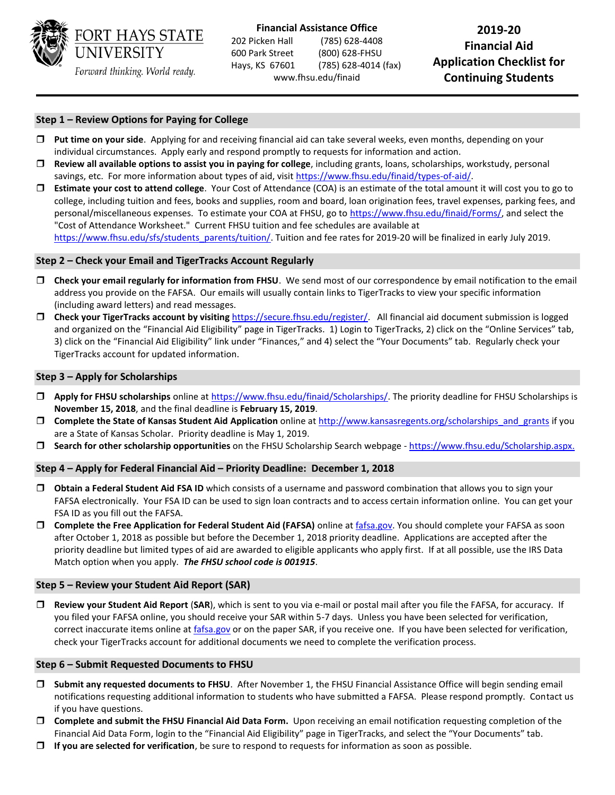

 202 Picken Hall (785) 628-4408 **Financial Aid** 600 Park Street (800) 628-FHSU  Hays, KS 67601 **Application Checklist for** (785) 628-4014 (fax) **Financial Assistance Office** 2019-20<br>2019-20 Picken Hall (785) 628-4408 <www.fhsu.edu/finaid>**Continuing Students** 

# **Step 1 – Review Options for Paying for College**

- **Put time on your side**. Applying for and receiving financial aid can take several weeks, even months, depending on your individual circumstances. Apply early and respond promptly to requests for information and action.
- **Review all available options to assist you in paying for college**, including grants, loans, scholarships, workstudy, personal savings, etc. For more information about types of aid, visi[t https://www.fhsu.edu/finaid/types-of-aid/.](https://www.fhsu.edu/finaid/types-of-aid/)
- **Estimate your cost to attend college**. Your Cost of Attendance (COA) is an estimate of the total amount it will cost you to go to "Cost of Attendance Worksheet." Current FHSU tuition and fee schedules are available at college, including tuition and fees, books and supplies, room and board, loan origination fees, travel expenses, parking fees, and personal/miscellaneous expenses. To estimate your COA at FHSU, go t[o https://www.fhsu.edu/finaid/Forms/,](https://www.fhsu.edu/finaid/Forms/) and select the [https://www.fhsu.edu/sfs/students\\_parents/tuition/.](https://www.fhsu.edu/sfs/students_parents/tuition/) Tuition and fee rates for 2019-20 will be finalized in early July 2019.

### **Step 2 – Check your Email and TigerTracks Account Regularly**

- **Check your email regularly for information from FHSU**. We send most of our correspondence by email notification to the email address you provide on the FAFSA. Our emails will usually contain links to TigerTracks to view your specific information (including award letters) and read messages.
- □ **Check your TigerTracks account by visiting** [https://secure.fhsu.edu/register/.](https://secure.fhsu.edu/register/) All financial aid document submission is logged and organized on the "Financial Aid Eligibility" page in TigerTracks. 1) Login to TigerTracks, 2) click on the "Online Services" tab, TigerTracks account for updated information. 3) click on the "Financial Aid Eligibility" link under "Finances," and 4) select the "Your Documents" tab. Regularly check your

#### **Step 3 – Apply for Scholarships**

- **Apply for FHSU scholarships** online a[t https://www.fhsu.edu/finaid/Scholarships/.](https://www.fhsu.edu/finaid/Scholarships/) The priority deadline for FHSU Scholarships is **November 15, 2018**, and the final deadline is **February 15, 2019**.
- are a State of Kansas Scholar. Priority deadline is May 1, 2019. **Complete the State of Kansas Student Aid Application** online at [http://www.kansasregents.org/scholarships\\_and\\_grants](http://www.kansasregents.org/scholarships_and_grants) if you
- **Search for other scholarship opportunities** on the FHSU Scholarship Search webpage [https://www.fhsu.edu/Scholarship.aspx.](https://www.fhsu.edu/Scholarship.aspx)

# **Step 4 – Apply for Federal Financial Aid – Priority Deadline: December 1, 2018**

- **Obtain a Federal Student Aid FSA ID** which consists of a username and password combination that allows you to sign your FAFSA electronically. Your FSA ID can be used to sign loan contracts and to access certain information online. You can get your FSA ID as you fill out the FAFSA.
- □ Complete the Free Application for Federal Student Aid (FAFSA) online at [fafsa.gov.](http://www.fafsa.ed.gov/) You should complete your FAFSA as soon after October 1, 2018 as possible but before the December 1, 2018 priority deadline. Applications are accepted after the priority deadline but limited types of aid are awarded to eligible applicants who apply first. If at all possible, use the IRS Data Match option when you apply. *The FHSU school code is 001915*.

#### **Step 5 – Review your Student Aid Report (SAR)**

 **Review your Student Aid Report** (**SAR**), which is sent to you via e-mail or postal mail after you file the FAFSA, for accuracy. If you filed your FAFSA online, you should receive your SAR within 5-7 days. Unless you have been selected for verification, correct inaccurate items online at *fafsa.gov* or on the paper SAR, if you receive one. If you have been selected for verification, check your TigerTracks account for additional documents we need to complete the verification process.

#### **Step 6 – Submit Requested Documents to FHSU**

- notifications requesting additional information to students who have submitted a FAFSA. Please respond promptly. Contact us **Submit any requested documents to FHSU**. After November 1, the FHSU Financial Assistance Office will begin sending email if you have questions.
- **Complete and submit the FHSU Financial Aid Data Form.** Upon receiving an email notification requesting completion of the Financial Aid Data Form, login to the "Financial Aid Eligibility" page in TigerTracks, and select the "Your Documents" tab.
- **If you are selected for verification**, be sure to respond to requests for information as soon as possible.